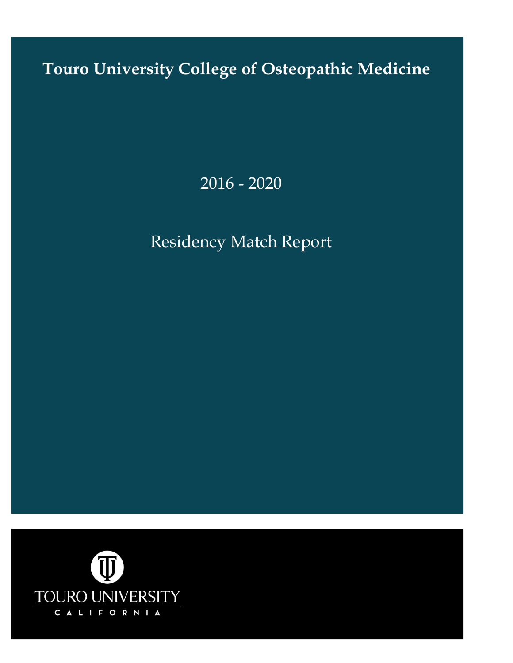**Touro University College of Osteopathic Medicine**

2016 - 2020

# Residency Match Report

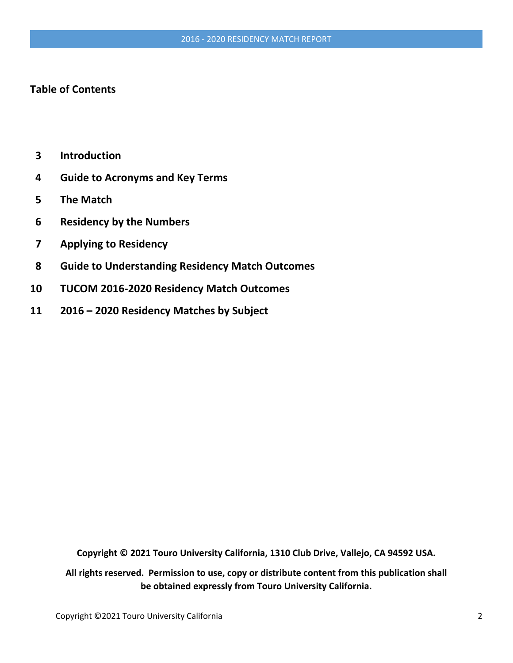# **Table of Contents**

- **3 Introduction**
- **4 Guide to Acronyms and Key Terms**
- **5 The Match**
- **6 Residency by the Numbers**
- **7 Applying to Residency**
- **8 Guide to Understanding Residency Match Outcomes**
- **10 TUCOM 2016-2020 Residency Match Outcomes**
- **11 2016 – 2020 Residency Matches by Subject**

**Copyright © 2021 Touro University California, 1310 Club Drive, Vallejo, CA 94592 USA.**

**All rights reserved. Permission to use, copy or distribute content from this publication shall be obtained expressly from Touro University California.**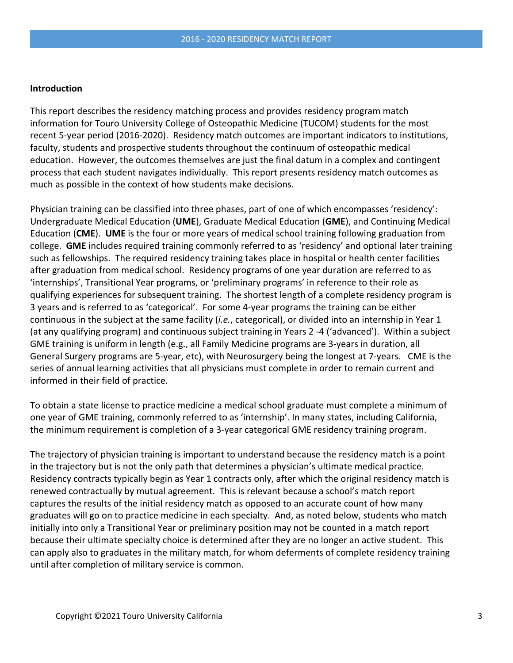# **Introduction**

This report describes the residency matching process and provides residency program match information for Touro University College of Osteopathic Medicine (TUCOM) students for the most recent 5-year period (2016-2020). Residency match outcomes are important indicators to institutions, faculty, students and prospective students throughout the continuum of osteopathic medical education. However, the outcomes themselves are just the final datum in a complex and contingent process that each student navigates individually. This report presents residency match outcomes as much as possible in the context of how students make decisions.

Physician training can be classified into three phases, part of one of which encompasses 'residency': Undergraduate Medical Education (**UME**), Graduate Medical Education (**GME**), and Continuing Medical Education (**CME**). **UME** is the four or more years of medical school training following graduation from college. **GME** includes required training commonly referred to as 'residency' and optional later training such as fellowships. The required residency training takes place in hospital or health center facilities after graduation from medical school. Residency programs of one year duration are referred to as 'internships', Transitional Year programs, or 'preliminary programs' in reference to their role as qualifying experiences for subsequent training. The shortest length of a complete residency program is 3 years and is referred to as 'categorical'. For some 4-year programs the training can be either continuous in the subject at the same facility (*i.e.*, categorical), or divided into an internship in Year 1 (at any qualifying program) and continuous subject training in Years 2 -4 ('advanced'). Within a subject GME training is uniform in length (e.g., all Family Medicine programs are 3-years in duration, all General Surgery programs are 5-year, etc), with Neurosurgery being the longest at 7-years. CME is the series of annual learning activities that all physicians must complete in order to remain current and informed in their field of practice.

To obtain a state license to practice medicine a medical school graduate must complete a minimum of one year of GME training, commonly referred to as 'internship'. In many states, including California, the minimum requirement is completion of a 3-year categorical GME residency training program.

The trajectory of physician training is important to understand because the residency match is a point in the trajectory but is not the only path that determines a physician's ultimate medical practice. Residency contracts typically begin as Year 1 contracts only, after which the original residency match is renewed contractually by mutual agreement. This is relevant because a school's match report captures the results of the initial residency match as opposed to an accurate count of how many graduates will go on to practice medicine in each specialty. And, as noted below, students who match initially into only a Transitional Year or preliminary position may not be counted in a match report because their ultimate specialty choice is determined after they are no longer an active student. This can apply also to graduates in the military match, for whom deferments of complete residency training until after completion of military service is common.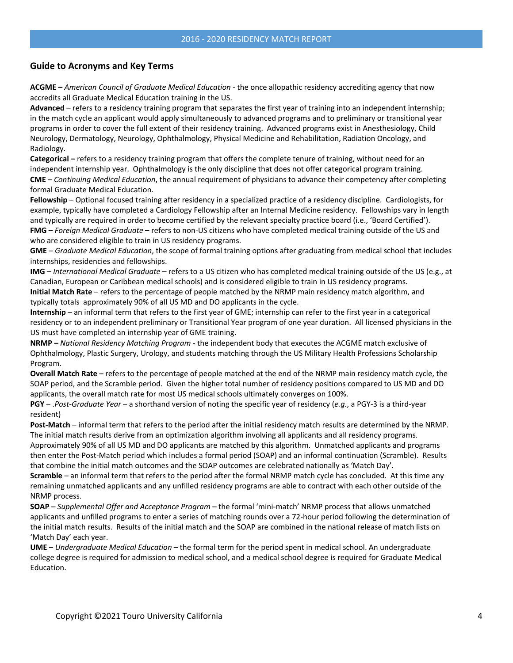## **Guide to Acronyms and Key Terms**

**ACGME –** *American Council of Graduate Medical Education* - the once allopathic residency accrediting agency that now accredits all Graduate Medical Education training in the US.

**Advanced** – refers to a residency training program that separates the first year of training into an independent internship; in the match cycle an applicant would apply simultaneously to advanced programs and to preliminary or transitional year programs in order to cover the full extent of their residency training. Advanced programs exist in Anesthesiology, Child Neurology, Dermatology, Neurology, Ophthalmology, Physical Medicine and Rehabilitation, Radiation Oncology, and Radiology.

**Categorical –** refers to a residency training program that offers the complete tenure of training, without need for an independent internship year. Ophthalmology is the only discipline that does not offer categorical program training. **CME** – *Continuing Medical Education*, the annual requirement of physicians to advance their competency after completing formal Graduate Medical Education.

**Fellowship** – Optional focused training after residency in a specialized practice of a residency discipline. Cardiologists, for example, typically have completed a Cardiology Fellowship after an Internal Medicine residency. Fellowships vary in length and typically are required in order to become certified by the relevant specialty practice board (i.e., 'Board Certified'). **FMG** – *Foreign Medical Graduate* – refers to non-US citizens who have completed medical training outside of the US and who are considered eligible to train in US residency programs.

**GME** – *Graduate Medical Education*, the scope of formal training options after graduating from medical school that includes internships, residencies and fellowships.

**IMG** – *International Medical Graduate* – refers to a US citizen who has completed medical training outside of the US (e.g., at Canadian, European or Caribbean medical schools) and is considered eligible to train in US residency programs. **Initial Match Rate** – refers to the percentage of people matched by the NRMP main residency match algorithm, and typically totals approximately 90% of all US MD and DO applicants in the cycle.

**Internship** – an informal term that refers to the first year of GME; internship can refer to the first year in a categorical residency or to an independent preliminary or Transitional Year program of one year duration. All licensed physicians in the US must have completed an internship year of GME training.

**NRMP –** *National Residency Matching Program* - the independent body that executes the ACGME match exclusive of Ophthalmology, Plastic Surgery, Urology, and students matching through the US Military Health Professions Scholarship Program.

**Overall Match Rate** – refers to the percentage of people matched at the end of the NRMP main residency match cycle, the SOAP period, and the Scramble period. Given the higher total number of residency positions compared to US MD and DO applicants, the overall match rate for most US medical schools ultimately converges on 100%.

**PGY** – .*Post-Graduate Year* – a shorthand version of noting the specific year of residency (*e.g.*, a PGY-3 is a third-year resident)

**Post-Match** – informal term that refers to the period after the initial residency match results are determined by the NRMP. The initial match results derive from an optimization algorithm involving all applicants and all residency programs.

Approximately 90% of all US MD and DO applicants are matched by this algorithm. Unmatched applicants and programs then enter the Post-Match period which includes a formal period (SOAP) and an informal continuation (Scramble). Results that combine the initial match outcomes and the SOAP outcomes are celebrated nationally as 'Match Day'.

**Scramble** – an informal term that refers to the period after the formal NRMP match cycle has concluded. At this time any remaining unmatched applicants and any unfilled residency programs are able to contract with each other outside of the NRMP process.

**SOAP** – *Supplemental Offer and Acceptance Program* – the formal 'mini-match' NRMP process that allows unmatched applicants and unfilled programs to enter a series of matching rounds over a 72-hour period following the determination of the initial match results. Results of the initial match and the SOAP are combined in the national release of match lists on 'Match Day' each year.

**UME** – *Undergraduate Medical Education* – the formal term for the period spent in medical school. An undergraduate college degree is required for admission to medical school, and a medical school degree is required for Graduate Medical Education.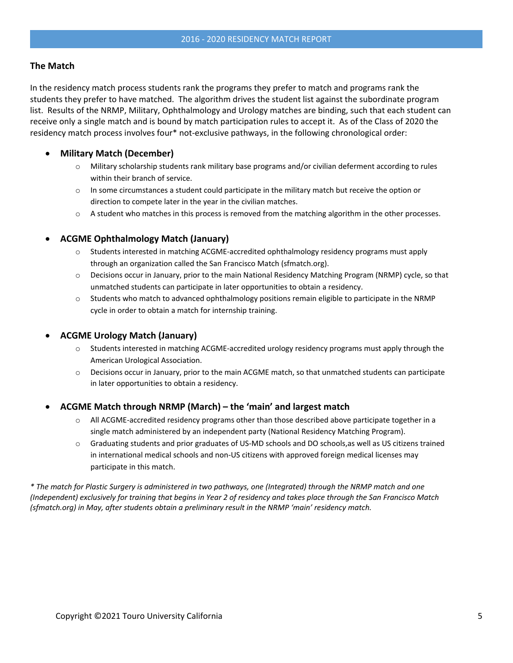# **The Match**

In the residency match process students rank the programs they prefer to match and programs rank the students they prefer to have matched. The algorithm drives the student list against the subordinate program list. Results of the NRMP, Military, Ophthalmology and Urology matches are binding, such that each student can receive only a single match and is bound by match participation rules to accept it. As of the Class of 2020 the residency match process involves four\* not-exclusive pathways, in the following chronological order:

# • **Military Match (December)**

- o Military scholarship students rank military base programs and/or civilian deferment according to rules within their branch of service.
- $\circ$  In some circumstances a student could participate in the military match but receive the option or direction to compete later in the year in the civilian matches.
- $\circ$  A student who matches in this process is removed from the matching algorithm in the other processes.

# • **ACGME Ophthalmology Match (January)**

- $\circ$  Students interested in matching ACGME-accredited ophthalmology residency programs must apply through an organization called the San Francisco Match (sfmatch.org).
- o Decisions occur in January, prior to the main National Residency Matching Program (NRMP) cycle, so that unmatched students can participate in later opportunities to obtain a residency.
- o Students who match to advanced ophthalmology positions remain eligible to participate in the NRMP cycle in order to obtain a match for internship training.

# • **ACGME Urology Match (January)**

- o Students interested in matching ACGME-accredited urology residency programs must apply through the American Urological Association.
- o Decisions occur in January, prior to the main ACGME match, so that unmatched students can participate in later opportunities to obtain a residency.

# • **ACGME Match through NRMP (March) – the 'main' and largest match**

- $\circ$  All ACGME-accredited residency programs other than those described above participate together in a single match administered by an independent party (National Residency Matching Program).
- o Graduating students and prior graduates of US-MD schools and DO schools,as well as US citizens trained in international medical schools and non-US citizens with approved foreign medical licenses may participate in this match.

*\* The match for Plastic Surgery is administered in two pathways, one (Integrated) through the NRMP match and one (Independent) exclusively for training that begins in Year 2 of residency and takes place through the San Francisco Match (sfmatch.org) in May, after students obtain a preliminary result in the NRMP 'main' residency match.*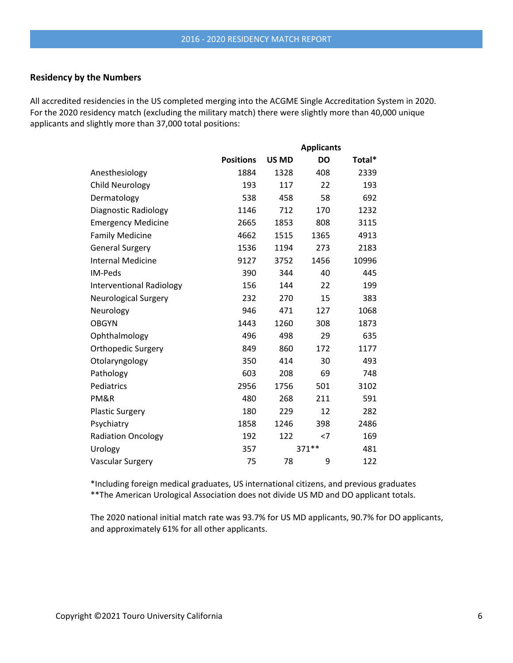## **Residency by the Numbers**

All accredited residencies in the US completed merging into the ACGME Single Accreditation System in 2020. For the 2020 residency match (excluding the military match) there were slightly more than 40,000 unique applicants and slightly more than 37,000 total positions:

|                                 |                  |              | <b>Applicants</b> |        |
|---------------------------------|------------------|--------------|-------------------|--------|
|                                 | <b>Positions</b> | <b>US MD</b> | <b>DO</b>         | Total* |
| Anesthesiology                  | 1884             | 1328         | 408               | 2339   |
| <b>Child Neurology</b>          | 193              | 117          | 22                | 193    |
| Dermatology                     | 538              | 458          | 58                | 692    |
| Diagnostic Radiology            | 1146             | 712          | 170               | 1232   |
| <b>Emergency Medicine</b>       | 2665             | 1853         | 808               | 3115   |
| <b>Family Medicine</b>          | 4662             | 1515         | 1365              | 4913   |
| <b>General Surgery</b>          | 1536             | 1194         | 273               | 2183   |
| <b>Internal Medicine</b>        | 9127             | 3752         | 1456              | 10996  |
| IM-Peds                         | 390              | 344          | 40                | 445    |
| <b>Interventional Radiology</b> | 156              | 144          | 22                | 199    |
| <b>Neurological Surgery</b>     | 232              | 270          | 15                | 383    |
| Neurology                       | 946              | 471          | 127               | 1068   |
| <b>OBGYN</b>                    | 1443             | 1260         | 308               | 1873   |
| Ophthalmology                   | 496              | 498          | 29                | 635    |
| Orthopedic Surgery              | 849              | 860          | 172               | 1177   |
| Otolaryngology                  | 350              | 414          | 30                | 493    |
| Pathology                       | 603              | 208          | 69                | 748    |
| Pediatrics                      | 2956             | 1756         | 501               | 3102   |
| PM&R                            | 480              | 268          | 211               | 591    |
| <b>Plastic Surgery</b>          | 180              | 229          | 12                | 282    |
| Psychiatry                      | 1858             | 1246         | 398               | 2486   |
| <b>Radiation Oncology</b>       | 192              | 122          | $<$ 7             | 169    |
| Urology                         | 357              |              | 371 **            | 481    |
| Vascular Surgery                | 75               | 78           | 9                 | 122    |

\*Including foreign medical graduates, US international citizens, and previous graduates \*\*The American Urological Association does not divide US MD and DO applicant totals.

The 2020 national initial match rate was 93.7% for US MD applicants, 90.7% for DO applicants, and approximately 61% for all other applicants.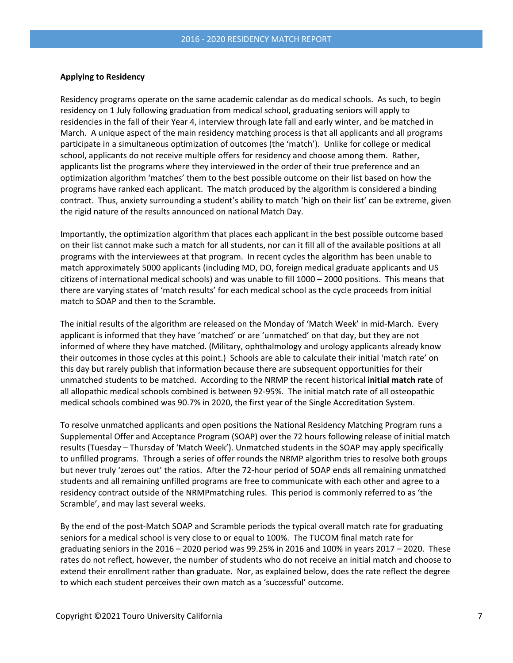#### **Applying to Residency**

Residency programs operate on the same academic calendar as do medical schools. As such, to begin residency on 1 July following graduation from medical school, graduating seniors will apply to residencies in the fall of their Year 4, interview through late fall and early winter, and be matched in March. A unique aspect of the main residency matching process is that all applicants and all programs participate in a simultaneous optimization of outcomes (the 'match'). Unlike for college or medical school, applicants do not receive multiple offers for residency and choose among them. Rather, applicants list the programs where they interviewed in the order of their true preference and an optimization algorithm 'matches' them to the best possible outcome on their list based on how the programs have ranked each applicant. The match produced by the algorithm is considered a binding contract. Thus, anxiety surrounding a student's ability to match 'high on their list' can be extreme, given the rigid nature of the results announced on national Match Day.

Importantly, the optimization algorithm that places each applicant in the best possible outcome based on their list cannot make such a match for all students, nor can it fill all of the available positions at all programs with the interviewees at that program. In recent cycles the algorithm has been unable to match approximately 5000 applicants (including MD, DO, foreign medical graduate applicants and US citizens of international medical schools) and was unable to fill 1000 – 2000 positions. This means that there are varying states of 'match results' for each medical school as the cycle proceeds from initial match to SOAP and then to the Scramble.

The initial results of the algorithm are released on the Monday of 'Match Week' in mid-March. Every applicant is informed that they have 'matched' or are 'unmatched' on that day, but they are not informed of where they have matched. (Military, ophthalmology and urology applicants already know their outcomes in those cycles at this point.) Schools are able to calculate their initial 'match rate' on this day but rarely publish that information because there are subsequent opportunities for their unmatched students to be matched. According to the NRMP the recent historical **initial match rate** of all allopathic medical schools combined is between 92-95%. The initial match rate of all osteopathic medical schools combined was 90.7% in 2020, the first year of the Single Accreditation System.

To resolve unmatched applicants and open positions the National Residency Matching Program runs a Supplemental Offer and Acceptance Program (SOAP) over the 72 hours following release of initial match results (Tuesday – Thursday of 'Match Week'). Unmatched students in the SOAP may apply specifically to unfilled programs. Through a series of offer rounds the NRMP algorithm tries to resolve both groups but never truly 'zeroes out' the ratios. After the 72-hour period of SOAP ends all remaining unmatched students and all remaining unfilled programs are free to communicate with each other and agree to a residency contract outside of the NRMPmatching rules. This period is commonly referred to as 'the Scramble', and may last several weeks.

By the end of the post-Match SOAP and Scramble periods the typical overall match rate for graduating seniors for a medical school is very close to or equal to 100%. The TUCOM final match rate for graduating seniors in the 2016 – 2020 period was 99.25% in 2016 and 100% in years 2017 – 2020. These rates do not reflect, however, the number of students who do not receive an initial match and choose to extend their enrollment rather than graduate. Nor, as explained below, does the rate reflect the degree to which each student perceives their own match as a 'successful' outcome.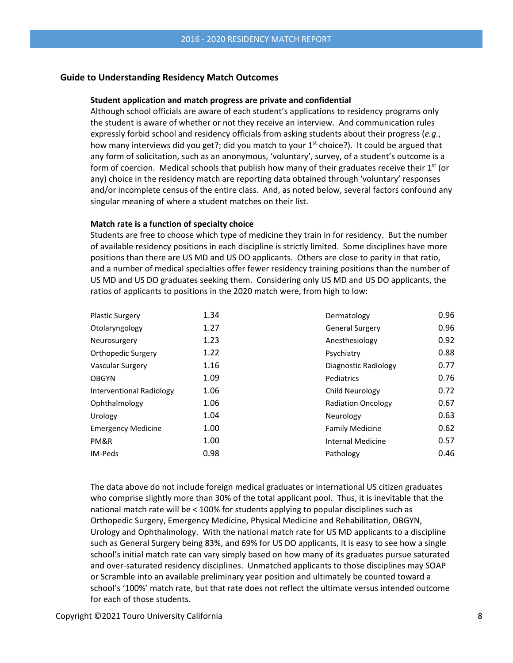## **Guide to Understanding Residency Match Outcomes**

### **Student application and match progress are private and confidential**

Although school officials are aware of each student's applications to residency programs only the student is aware of whether or not they receive an interview. And communication rules expressly forbid school and residency officials from asking students about their progress (*e.g.*, how many interviews did you get?; did you match to your  $1<sup>st</sup>$  choice?). It could be argued that any form of solicitation, such as an anonymous, 'voluntary', survey, of a student's outcome is a form of coercion. Medical schools that publish how many of their graduates receive their  $1<sup>st</sup>$  (or any) choice in the residency match are reporting data obtained through 'voluntary' responses and/or incomplete census of the entire class. And, as noted below, several factors confound any singular meaning of where a student matches on their list.

## **Match rate is a function of specialty choice**

Students are free to choose which type of medicine they train in for residency. But the number of available residency positions in each discipline is strictly limited. Some disciplines have more positions than there are US MD and US DO applicants. Others are close to parity in that ratio, and a number of medical specialties offer fewer residency training positions than the number of US MD and US DO graduates seeking them. Considering only US MD and US DO applicants, the ratios of applicants to positions in the 2020 match were, from high to low:

| <b>Plastic Surgery</b>    | 1.34 | Dermatology               | 0.96 |
|---------------------------|------|---------------------------|------|
| Otolaryngology            | 1.27 | <b>General Surgery</b>    | 0.96 |
| Neurosurgery              | 1.23 | Anesthesiology            | 0.92 |
| Orthopedic Surgery        | 1.22 | Psychiatry                | 0.88 |
| Vascular Surgery          | 1.16 | Diagnostic Radiology      | 0.77 |
| <b>OBGYN</b>              | 1.09 | Pediatrics                | 0.76 |
| Interventional Radiology  | 1.06 | Child Neurology           | 0.72 |
| Ophthalmology             | 1.06 | <b>Radiation Oncology</b> | 0.67 |
| Urology                   | 1.04 | Neurology                 | 0.63 |
| <b>Emergency Medicine</b> | 1.00 | <b>Family Medicine</b>    | 0.62 |
| PM&R                      | 1.00 | <b>Internal Medicine</b>  | 0.57 |
| IM-Peds                   | 0.98 | Pathology                 | 0.46 |
|                           |      |                           |      |

The data above do not include foreign medical graduates or international US citizen graduates who comprise slightly more than 30% of the total applicant pool. Thus, it is inevitable that the national match rate will be < 100% for students applying to popular disciplines such as Orthopedic Surgery, Emergency Medicine, Physical Medicine and Rehabilitation, OBGYN, Urology and Ophthalmology. With the national match rate for US MD applicants to a discipline such as General Surgery being 83%, and 69% for US DO applicants, it is easy to see how a single school's initial match rate can vary simply based on how many of its graduates pursue saturated and over-saturated residency disciplines. Unmatched applicants to those disciplines may SOAP or Scramble into an available preliminary year position and ultimately be counted toward a school's '100%' match rate, but that rate does not reflect the ultimate versus intended outcome for each of those students.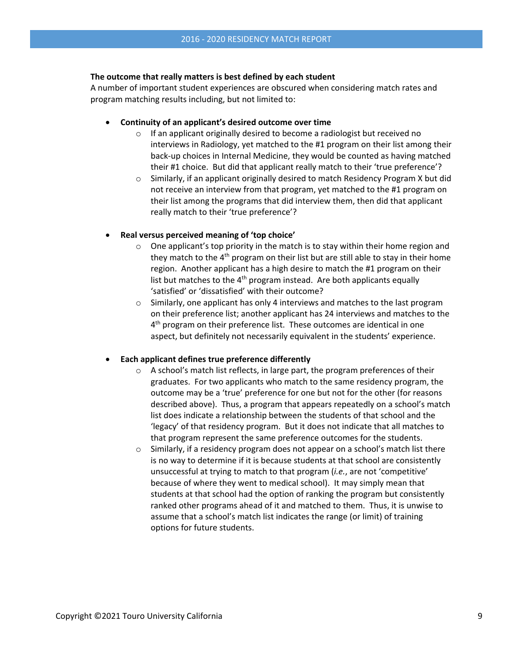## **The outcome that really matters is best defined by each student**

A number of important student experiences are obscured when considering match rates and program matching results including, but not limited to:

- **Continuity of an applicant's desired outcome over time**
	- o If an applicant originally desired to become a radiologist but received no interviews in Radiology, yet matched to the #1 program on their list among their back-up choices in Internal Medicine, they would be counted as having matched their #1 choice. But did that applicant really match to their 'true preference'?
	- $\circ$  Similarly, if an applicant originally desired to match Residency Program X but did not receive an interview from that program, yet matched to the #1 program on their list among the programs that did interview them, then did that applicant really match to their 'true preference'?

## • **Real versus perceived meaning of 'top choice'**

- $\circ$  One applicant's top priority in the match is to stay within their home region and they match to the  $4<sup>th</sup>$  program on their list but are still able to stay in their home region. Another applicant has a high desire to match the #1 program on their list but matches to the  $4<sup>th</sup>$  program instead. Are both applicants equally 'satisfied' or 'dissatisfied' with their outcome?
- o Similarly, one applicant has only 4 interviews and matches to the last program on their preference list; another applicant has 24 interviews and matches to the  $4<sup>th</sup>$  program on their preference list. These outcomes are identical in one aspect, but definitely not necessarily equivalent in the students' experience.

# • **Each applicant defines true preference differently**

- $\circ$  A school's match list reflects, in large part, the program preferences of their graduates. For two applicants who match to the same residency program, the outcome may be a 'true' preference for one but not for the other (for reasons described above). Thus, a program that appears repeatedly on a school's match list does indicate a relationship between the students of that school and the 'legacy' of that residency program. But it does not indicate that all matches to that program represent the same preference outcomes for the students.
- $\circ$  Similarly, if a residency program does not appear on a school's match list there is no way to determine if it is because students at that school are consistently unsuccessful at trying to match to that program (*i.e.*, are not 'competitive' because of where they went to medical school). It may simply mean that students at that school had the option of ranking the program but consistently ranked other programs ahead of it and matched to them. Thus, it is unwise to assume that a school's match list indicates the range (or limit) of training options for future students.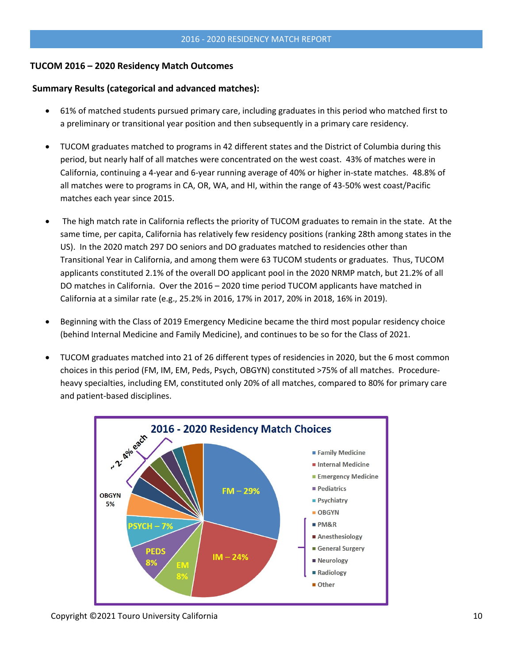# **TUCOM 2016 – 2020 Residency Match Outcomes**

## **Summary Results (categorical and advanced matches):**

- 61% of matched students pursued primary care, including graduates in this period who matched first to a preliminary or transitional year position and then subsequently in a primary care residency.
- TUCOM graduates matched to programs in 42 different states and the District of Columbia during this period, but nearly half of all matches were concentrated on the west coast. 43% of matches were in California, continuing a 4-year and 6-year running average of 40% or higher in-state matches. 48.8% of all matches were to programs in CA, OR, WA, and HI, within the range of 43-50% west coast/Pacific matches each year since 2015.
- The high match rate in California reflects the priority of TUCOM graduates to remain in the state. At the same time, per capita, California has relatively few residency positions (ranking 28th among states in the US). In the 2020 match 297 DO seniors and DO graduates matched to residencies other than Transitional Year in California, and among them were 63 TUCOM students or graduates. Thus, TUCOM applicants constituted 2.1% of the overall DO applicant pool in the 2020 NRMP match, but 21.2% of all DO matches in California. Over the 2016 – 2020 time period TUCOM applicants have matched in California at a similar rate (e.g., 25.2% in 2016, 17% in 2017, 20% in 2018, 16% in 2019).
- Beginning with the Class of 2019 Emergency Medicine became the third most popular residency choice (behind Internal Medicine and Family Medicine), and continues to be so for the Class of 2021.
- TUCOM graduates matched into 21 of 26 different types of residencies in 2020, but the 6 most common choices in this period (FM, IM, EM, Peds, Psych, OBGYN) constituted >75% of all matches. Procedureheavy specialties, including EM, constituted only 20% of all matches, compared to 80% for primary care and patient-based disciplines.



Copyright ©2021 Touro University California 10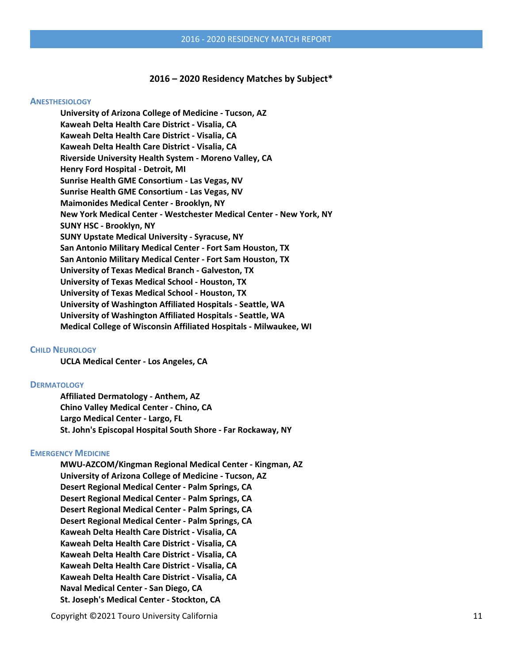#### **2016 – 2020 Residency Matches by Subject\***

#### **ANESTHESIOLOGY**

**University of Arizona College of Medicine - Tucson, AZ Kaweah Delta Health Care District - Visalia, CA Kaweah Delta Health Care District - Visalia, CA Kaweah Delta Health Care District - Visalia, CA Riverside University Health System - Moreno Valley, CA Henry Ford Hospital - Detroit, MI Sunrise Health GME Consortium - Las Vegas, NV Sunrise Health GME Consortium - Las Vegas, NV Maimonides Medical Center - Brooklyn, NY New York Medical Center - Westchester Medical Center - New York, NY SUNY HSC - Brooklyn, NY SUNY Upstate Medical University - Syracuse, NY San Antonio Military Medical Center - Fort Sam Houston, TX San Antonio Military Medical Center - Fort Sam Houston, TX University of Texas Medical Branch - Galveston, TX University of Texas Medical School - Houston, TX University of Texas Medical School - Houston, TX University of Washington Affiliated Hospitals - Seattle, WA University of Washington Affiliated Hospitals - Seattle, WA Medical College of Wisconsin Affiliated Hospitals - Milwaukee, WI**

#### **CHILD NEUROLOGY**

**UCLA Medical Center - Los Angeles, CA**

#### **DERMATOLOGY**

**Affiliated Dermatology - Anthem, AZ Chino Valley Medical Center - Chino, CA Largo Medical Center - Largo, FL St. John's Episcopal Hospital South Shore - Far Rockaway, NY**

#### **EMERGENCY MEDICINE**

**MWU-AZCOM/Kingman Regional Medical Center - Kingman, AZ University of Arizona College of Medicine - Tucson, AZ Desert Regional Medical Center - Palm Springs, CA Desert Regional Medical Center - Palm Springs, CA Desert Regional Medical Center - Palm Springs, CA Desert Regional Medical Center - Palm Springs, CA Kaweah Delta Health Care District - Visalia, CA Kaweah Delta Health Care District - Visalia, CA Kaweah Delta Health Care District - Visalia, CA Kaweah Delta Health Care District - Visalia, CA Kaweah Delta Health Care District - Visalia, CA Naval Medical Center - San Diego, CA St. Joseph's Medical Center - Stockton, CA**

Copyright ©2021 Touro University California 11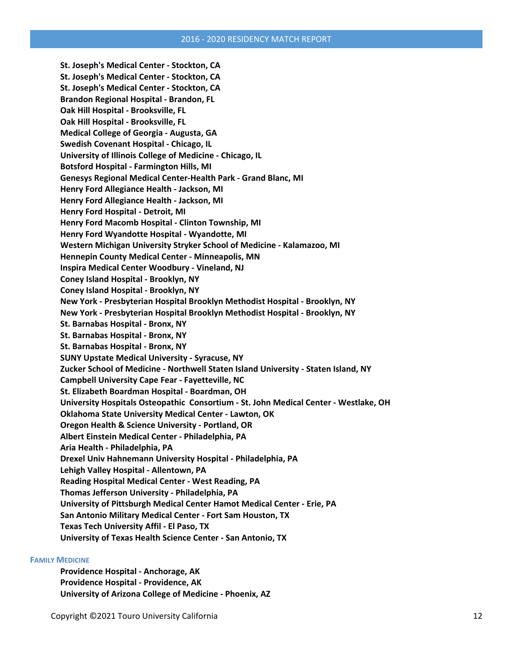**St. Joseph's Medical Center - Stockton, CA St. Joseph's Medical Center - Stockton, CA St. Joseph's Medical Center - Stockton, CA Brandon Regional Hospital - Brandon, FL Oak Hill Hospital - Brooksville, FL Oak Hill Hospital - Brooksville, FL Medical College of Georgia - Augusta, GA Swedish Covenant Hospital - Chicago, IL University of Illinois College of Medicine - Chicago, IL Botsford Hospital - Farmington Hills, MI Genesys Regional Medical Center-Health Park - Grand Blanc, MI Henry Ford Allegiance Health - Jackson, MI Henry Ford Allegiance Health - Jackson, MI Henry Ford Hospital - Detroit, MI Henry Ford Macomb Hospital - Clinton Township, MI Henry Ford Wyandotte Hospital - Wyandotte, MI Western Michigan University Stryker School of Medicine - Kalamazoo, MI Hennepin County Medical Center - Minneapolis, MN Inspira Medical Center Woodbury - Vineland, NJ Coney Island Hospital - Brooklyn, NY Coney Island Hospital - Brooklyn, NY New York - Presbyterian Hospital Brooklyn Methodist Hospital - Brooklyn, NY New York - Presbyterian Hospital Brooklyn Methodist Hospital - Brooklyn, NY St. Barnabas Hospital - Bronx, NY St. Barnabas Hospital - Bronx, NY St. Barnabas Hospital - Bronx, NY SUNY Upstate Medical University - Syracuse, NY Zucker School of Medicine - Northwell Staten Island University - Staten Island, NY Campbell University Cape Fear - Fayetteville, NC St. Elizabeth Boardman Hospital - Boardman, OH University Hospitals Osteopathic Consortium - St. John Medical Center - Westlake, OH Oklahoma State University Medical Center - Lawton, OK Oregon Health & Science University - Portland, OR Albert Einstein Medical Center - Philadelphia, PA Aria Health - Philadelphia, PA Drexel Univ Hahnemann University Hospital - Philadelphia, PA Lehigh Valley Hospital - Allentown, PA Reading Hospital Medical Center - West Reading, PA Thomas Jefferson University - Philadelphia, PA University of Pittsburgh Medical Center Hamot Medical Center - Erie, PA San Antonio Military Medical Center - Fort Sam Houston, TX Texas Tech University Affil - El Paso, TX University of Texas Health Science Center - San Antonio, TX**

#### **FAMILY MEDICINE**

**Providence Hospital - Anchorage, AK Providence Hospital - Providence, AK University of Arizona College of Medicine - Phoenix, AZ**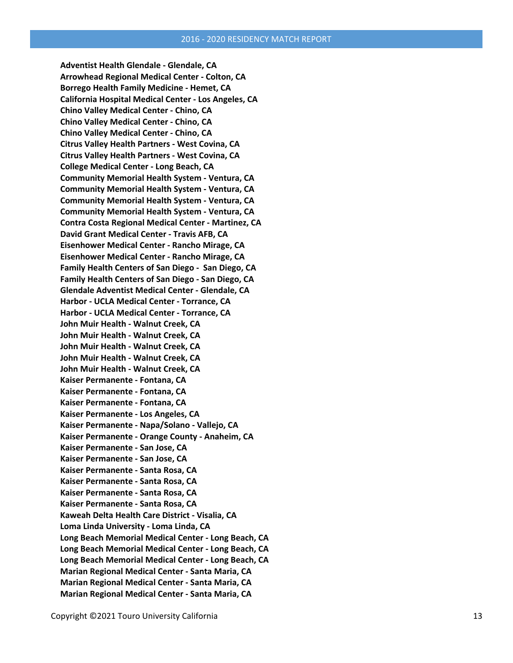**Adventist Health Glendale - Glendale, CA Arrowhead Regional Medical Center - Colton, CA Borrego Health Family Medicine - Hemet, CA California Hospital Medical Center - Los Angeles, CA Chino Valley Medical Center - Chino, CA Chino Valley Medical Center - Chino, CA Chino Valley Medical Center - Chino, CA Citrus Valley Health Partners - West Covina, CA Citrus Valley Health Partners - West Covina, CA College Medical Center - Long Beach, CA Community Memorial Health System - Ventura, CA Community Memorial Health System - Ventura, CA Community Memorial Health System - Ventura, CA Community Memorial Health System - Ventura, CA Contra Costa Regional Medical Center - Martinez, CA David Grant Medical Center - Travis AFB, CA Eisenhower Medical Center - Rancho Mirage, CA Eisenhower Medical Center - Rancho Mirage, CA Family Health Centers of San Diego - San Diego, CA Family Health Centers of San Diego - San Diego, CA Glendale Adventist Medical Center - Glendale, CA Harbor - UCLA Medical Center - Torrance, CA Harbor - UCLA Medical Center - Torrance, CA John Muir Health - Walnut Creek, CA John Muir Health - Walnut Creek, CA John Muir Health - Walnut Creek, CA John Muir Health - Walnut Creek, CA John Muir Health - Walnut Creek, CA Kaiser Permanente - Fontana, CA Kaiser Permanente - Fontana, CA Kaiser Permanente - Fontana, CA Kaiser Permanente - Los Angeles, CA Kaiser Permanente - Napa/Solano - Vallejo, CA Kaiser Permanente - Orange County - Anaheim, CA Kaiser Permanente - San Jose, CA Kaiser Permanente - San Jose, CA Kaiser Permanente - Santa Rosa, CA Kaiser Permanente - Santa Rosa, CA Kaiser Permanente - Santa Rosa, CA Kaiser Permanente - Santa Rosa, CA Kaweah Delta Health Care District - Visalia, CA Loma Linda University - Loma Linda, CA Long Beach Memorial Medical Center - Long Beach, CA Long Beach Memorial Medical Center - Long Beach, CA Long Beach Memorial Medical Center - Long Beach, CA Marian Regional Medical Center - Santa Maria, CA Marian Regional Medical Center - Santa Maria, CA Marian Regional Medical Center - Santa Maria, CA**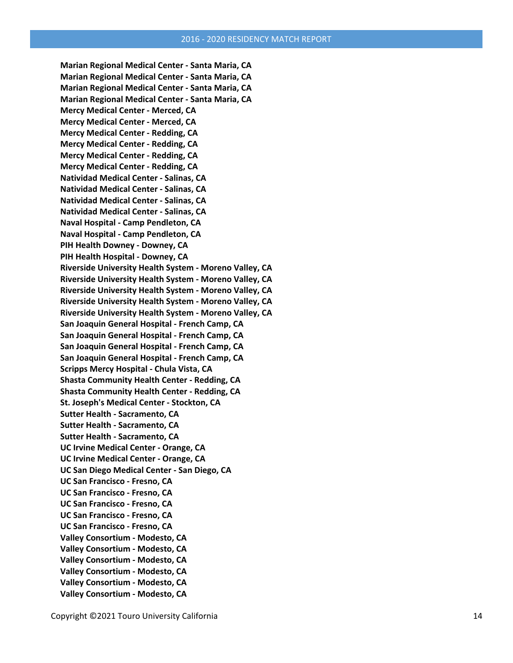**Marian Regional Medical Center - Santa Maria, CA Marian Regional Medical Center - Santa Maria, CA Marian Regional Medical Center - Santa Maria, CA Marian Regional Medical Center - Santa Maria, CA Mercy Medical Center - Merced, CA Mercy Medical Center - Merced, CA Mercy Medical Center - Redding, CA Mercy Medical Center - Redding, CA Mercy Medical Center - Redding, CA Mercy Medical Center - Redding, CA Natividad Medical Center - Salinas, CA Natividad Medical Center - Salinas, CA Natividad Medical Center - Salinas, CA Natividad Medical Center - Salinas, CA Naval Hospital - Camp Pendleton, CA Naval Hospital - Camp Pendleton, CA PIH Health Downey - Downey, CA PIH Health Hospital - Downey, CA Riverside University Health System - Moreno Valley, CA Riverside University Health System - Moreno Valley, CA Riverside University Health System - Moreno Valley, CA Riverside University Health System - Moreno Valley, CA Riverside University Health System - Moreno Valley, CA San Joaquin General Hospital - French Camp, CA San Joaquin General Hospital - French Camp, CA San Joaquin General Hospital - French Camp, CA San Joaquin General Hospital - French Camp, CA Scripps Mercy Hospital - Chula Vista, CA Shasta Community Health Center - Redding, CA Shasta Community Health Center - Redding, CA St. Joseph's Medical Center - Stockton, CA Sutter Health - Sacramento, CA Sutter Health - Sacramento, CA Sutter Health - Sacramento, CA UC Irvine Medical Center - Orange, CA UC Irvine Medical Center - Orange, CA UC San Diego Medical Center - San Diego, CA UC San Francisco - Fresno, CA UC San Francisco - Fresno, CA UC San Francisco - Fresno, CA UC San Francisco - Fresno, CA UC San Francisco - Fresno, CA Valley Consortium - Modesto, CA Valley Consortium - Modesto, CA Valley Consortium - Modesto, CA Valley Consortium - Modesto, CA Valley Consortium - Modesto, CA Valley Consortium - Modesto, CA**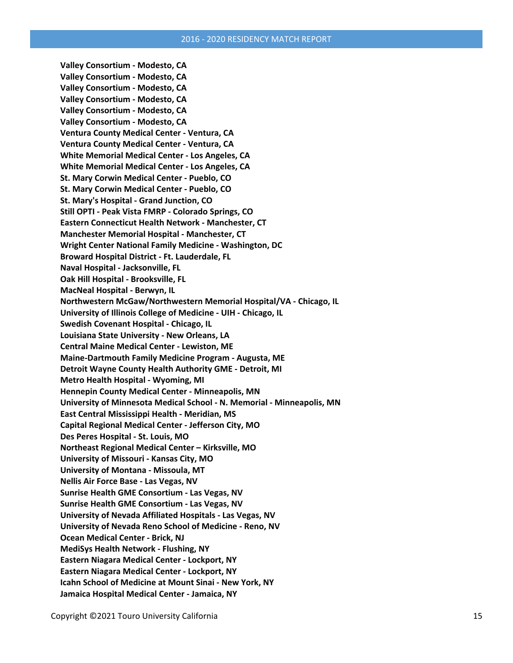**Valley Consortium - Modesto, CA Valley Consortium - Modesto, CA Valley Consortium - Modesto, CA Valley Consortium - Modesto, CA Valley Consortium - Modesto, CA Valley Consortium - Modesto, CA Ventura County Medical Center - Ventura, CA Ventura County Medical Center - Ventura, CA White Memorial Medical Center - Los Angeles, CA White Memorial Medical Center - Los Angeles, CA St. Mary Corwin Medical Center - Pueblo, CO St. Mary Corwin Medical Center - Pueblo, CO St. Mary's Hospital - Grand Junction, CO Still OPTI - Peak Vista FMRP - Colorado Springs, CO Eastern Connecticut Health Network - Manchester, CT Manchester Memorial Hospital - Manchester, CT Wright Center National Family Medicine - Washington, DC Broward Hospital District - Ft. Lauderdale, FL Naval Hospital - Jacksonville, FL Oak Hill Hospital - Brooksville, FL MacNeal Hospital - Berwyn, IL Northwestern McGaw/Northwestern Memorial Hospital/VA - Chicago, IL University of Illinois College of Medicine - UIH - Chicago, IL Swedish Covenant Hospital - Chicago, IL Louisiana State University - New Orleans, LA Central Maine Medical Center - Lewiston, ME Maine-Dartmouth Family Medicine Program - Augusta, ME Detroit Wayne County Health Authority GME - Detroit, MI Metro Health Hospital - Wyoming, MI Hennepin County Medical Center - Minneapolis, MN University of Minnesota Medical School - N. Memorial - Minneapolis, MN East Central Mississippi Health - Meridian, MS Capital Regional Medical Center - Jefferson City, MO Des Peres Hospital - St. Louis, MO Northeast Regional Medical Center – Kirksville, MO University of Missouri - Kansas City, MO University of Montana - Missoula, MT Nellis Air Force Base - Las Vegas, NV Sunrise Health GME Consortium - Las Vegas, NV Sunrise Health GME Consortium - Las Vegas, NV University of Nevada Affiliated Hospitals - Las Vegas, NV University of Nevada Reno School of Medicine - Reno, NV Ocean Medical Center - Brick, NJ MediSys Health Network - Flushing, NY Eastern Niagara Medical Center - Lockport, NY Eastern Niagara Medical Center - Lockport, NY Icahn School of Medicine at Mount Sinai - New York, NY Jamaica Hospital Medical Center - Jamaica, NY**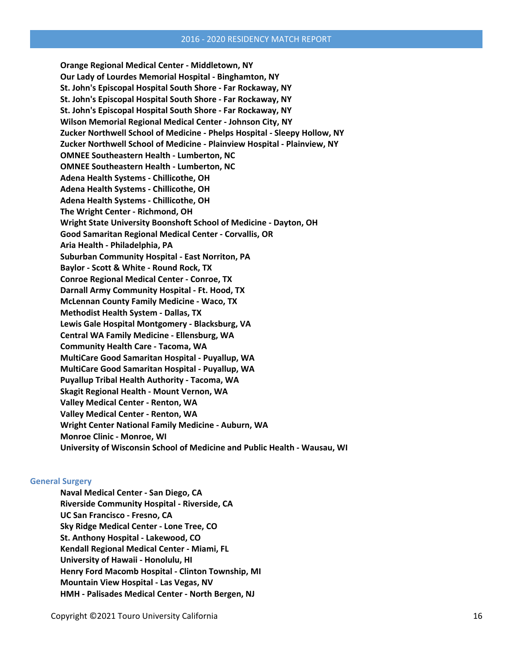**Orange Regional Medical Center - Middletown, NY Our Lady of Lourdes Memorial Hospital - Binghamton, NY St. John's Episcopal Hospital South Shore - Far Rockaway, NY St. John's Episcopal Hospital South Shore - Far Rockaway, NY St. John's Episcopal Hospital South Shore - Far Rockaway, NY Wilson Memorial Regional Medical Center - Johnson City, NY Zucker Northwell School of Medicine - Phelps Hospital - Sleepy Hollow, NY Zucker Northwell School of Medicine - Plainview Hospital - Plainview, NY OMNEE Southeastern Health - Lumberton, NC OMNEE Southeastern Health - Lumberton, NC Adena Health Systems - Chillicothe, OH Adena Health Systems - Chillicothe, OH Adena Health Systems - Chillicothe, OH The Wright Center - Richmond, OH Wright State University Boonshoft School of Medicine - Dayton, OH Good Samaritan Regional Medical Center - Corvallis, OR Aria Health - Philadelphia, PA Suburban Community Hospital - East Norriton, PA Baylor - Scott & White - Round Rock, TX Conroe Regional Medical Center - Conroe, TX Darnall Army Community Hospital - Ft. Hood, TX McLennan County Family Medicine - Waco, TX Methodist Health System - Dallas, TX Lewis Gale Hospital Montgomery - Blacksburg, VA Central WA Family Medicine - Ellensburg, WA Community Health Care - Tacoma, WA MultiCare Good Samaritan Hospital - Puyallup, WA MultiCare Good Samaritan Hospital - Puyallup, WA Puyallup Tribal Health Authority - Tacoma, WA Skagit Regional Health - Mount Vernon, WA Valley Medical Center - Renton, WA Valley Medical Center - Renton, WA Wright Center National Family Medicine - Auburn, WA Monroe Clinic - Monroe, WI University of Wisconsin School of Medicine and Public Health - Wausau, WI**

#### **General Surgery**

**Naval Medical Center - San Diego, CA Riverside Community Hospital - Riverside, CA UC San Francisco - Fresno, CA Sky Ridge Medical Center - Lone Tree, CO St. Anthony Hospital - Lakewood, CO Kendall Regional Medical Center - Miami, FL University of Hawaii - Honolulu, HI Henry Ford Macomb Hospital - Clinton Township, MI Mountain View Hospital - Las Vegas, NV HMH - Palisades Medical Center - North Bergen, NJ**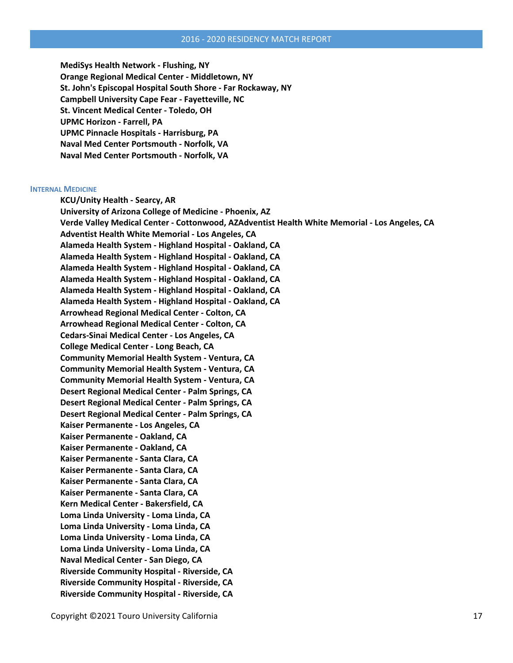**MediSys Health Network - Flushing, NY Orange Regional Medical Center - Middletown, NY St. John's Episcopal Hospital South Shore - Far Rockaway, NY Campbell University Cape Fear - Fayetteville, NC St. Vincent Medical Center - Toledo, OH UPMC Horizon - Farrell, PA UPMC Pinnacle Hospitals - Harrisburg, PA Naval Med Center Portsmouth - Norfolk, VA Naval Med Center Portsmouth - Norfolk, VA**

#### **INTERNAL MEDICINE**

**KCU/Unity Health - Searcy, AR University of Arizona College of Medicine - Phoenix, AZ Verde Valley Medical Center - Cottonwood, AZAdventist Health White Memorial - Los Angeles, CA Adventist Health White Memorial - Los Angeles, CA Alameda Health System - Highland Hospital - Oakland, CA Alameda Health System - Highland Hospital - Oakland, CA Alameda Health System - Highland Hospital - Oakland, CA Alameda Health System - Highland Hospital - Oakland, CA Alameda Health System - Highland Hospital - Oakland, CA Alameda Health System - Highland Hospital - Oakland, CA Arrowhead Regional Medical Center - Colton, CA Arrowhead Regional Medical Center - Colton, CA Cedars-Sinai Medical Center - Los Angeles, CA College Medical Center - Long Beach, CA Community Memorial Health System - Ventura, CA Community Memorial Health System - Ventura, CA Community Memorial Health System - Ventura, CA Desert Regional Medical Center - Palm Springs, CA Desert Regional Medical Center - Palm Springs, CA Desert Regional Medical Center - Palm Springs, CA Kaiser Permanente - Los Angeles, CA Kaiser Permanente - Oakland, CA Kaiser Permanente - Oakland, CA Kaiser Permanente - Santa Clara, CA Kaiser Permanente - Santa Clara, CA Kaiser Permanente - Santa Clara, CA Kaiser Permanente - Santa Clara, CA Kern Medical Center - Bakersfield, CA Loma Linda University - Loma Linda, CA Loma Linda University - Loma Linda, CA Loma Linda University - Loma Linda, CA Loma Linda University - Loma Linda, CA Naval Medical Center - San Diego, CA Riverside Community Hospital - Riverside, CA Riverside Community Hospital - Riverside, CA Riverside Community Hospital - Riverside, CA**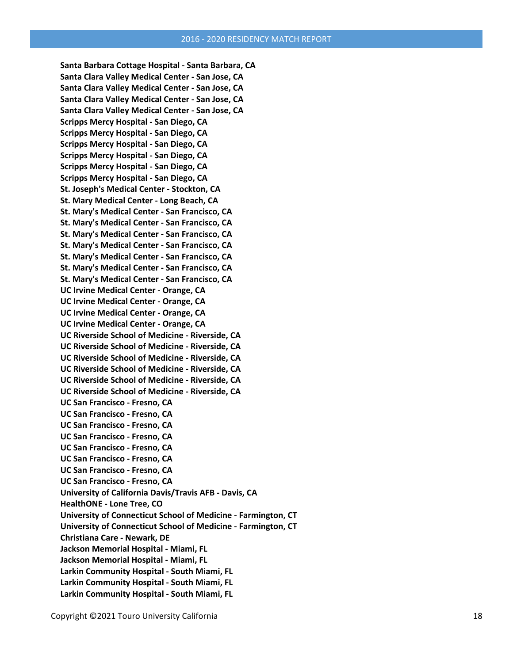**Santa Barbara Cottage Hospital - Santa Barbara, CA Santa Clara Valley Medical Center - San Jose, CA Santa Clara Valley Medical Center - San Jose, CA Santa Clara Valley Medical Center - San Jose, CA Santa Clara Valley Medical Center - San Jose, CA Scripps Mercy Hospital - San Diego, CA Scripps Mercy Hospital - San Diego, CA Scripps Mercy Hospital - San Diego, CA Scripps Mercy Hospital - San Diego, CA Scripps Mercy Hospital - San Diego, CA Scripps Mercy Hospital - San Diego, CA St. Joseph's Medical Center - Stockton, CA St. Mary Medical Center - Long Beach, CA St. Mary's Medical Center - San Francisco, CA St. Mary's Medical Center - San Francisco, CA St. Mary's Medical Center - San Francisco, CA St. Mary's Medical Center - San Francisco, CA St. Mary's Medical Center - San Francisco, CA St. Mary's Medical Center - San Francisco, CA St. Mary's Medical Center - San Francisco, CA UC Irvine Medical Center - Orange, CA UC Irvine Medical Center - Orange, CA UC Irvine Medical Center - Orange, CA UC Irvine Medical Center - Orange, CA UC Riverside School of Medicine - Riverside, CA UC Riverside School of Medicine - Riverside, CA UC Riverside School of Medicine - Riverside, CA UC Riverside School of Medicine - Riverside, CA UC Riverside School of Medicine - Riverside, CA UC Riverside School of Medicine - Riverside, CA UC San Francisco - Fresno, CA UC San Francisco - Fresno, CA UC San Francisco - Fresno, CA UC San Francisco - Fresno, CA UC San Francisco - Fresno, CA UC San Francisco - Fresno, CA UC San Francisco - Fresno, CA UC San Francisco - Fresno, CA University of California Davis/Travis AFB - Davis, CA HealthONE - Lone Tree, CO University of Connecticut School of Medicine - Farmington, CT University of Connecticut School of Medicine - Farmington, CT Christiana Care - Newark, DE Jackson Memorial Hospital - Miami, FL Jackson Memorial Hospital - Miami, FL Larkin Community Hospital - South Miami, FL Larkin Community Hospital - South Miami, FL Larkin Community Hospital - South Miami, FL**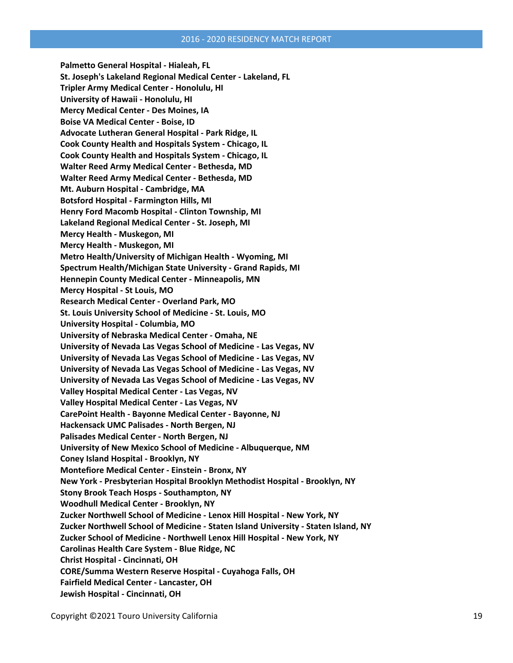**Palmetto General Hospital - Hialeah, FL St. Joseph's Lakeland Regional Medical Center - Lakeland, FL Tripler Army Medical Center - Honolulu, HI University of Hawaii - Honolulu, HI Mercy Medical Center - Des Moines, IA Boise VA Medical Center - Boise, ID Advocate Lutheran General Hospital - Park Ridge, IL Cook County Health and Hospitals System - Chicago, IL Cook County Health and Hospitals System - Chicago, IL Walter Reed Army Medical Center - Bethesda, MD Walter Reed Army Medical Center - Bethesda, MD Mt. Auburn Hospital - Cambridge, MA Botsford Hospital - Farmington Hills, MI Henry Ford Macomb Hospital - Clinton Township, MI Lakeland Regional Medical Center - St. Joseph, MI Mercy Health - Muskegon, MI Mercy Health - Muskegon, MI Metro Health/University of Michigan Health - Wyoming, MI Spectrum Health/Michigan State University - Grand Rapids, MI Hennepin County Medical Center - Minneapolis, MN Mercy Hospital - St Louis, MO Research Medical Center - Overland Park, MO St. Louis University School of Medicine - St. Louis, MO University Hospital - Columbia, MO University of Nebraska Medical Center - Omaha, NE University of Nevada Las Vegas School of Medicine - Las Vegas, NV University of Nevada Las Vegas School of Medicine - Las Vegas, NV University of Nevada Las Vegas School of Medicine - Las Vegas, NV University of Nevada Las Vegas School of Medicine - Las Vegas, NV Valley Hospital Medical Center - Las Vegas, NV Valley Hospital Medical Center - Las Vegas, NV CarePoint Health - Bayonne Medical Center - Bayonne, NJ Hackensack UMC Palisades - North Bergen, NJ Palisades Medical Center - North Bergen, NJ University of New Mexico School of Medicine - Albuquerque, NM Coney Island Hospital - Brooklyn, NY Montefiore Medical Center - Einstein - Bronx, NY New York - Presbyterian Hospital Brooklyn Methodist Hospital - Brooklyn, NY Stony Brook Teach Hosps - Southampton, NY Woodhull Medical Center - Brooklyn, NY Zucker Northwell School of Medicine - Lenox Hill Hospital - New York, NY Zucker Northwell School of Medicine - Staten Island University - Staten Island, NY Zucker School of Medicine - Northwell Lenox Hill Hospital - New York, NY Carolinas Health Care System - Blue Ridge, NC Christ Hospital - Cincinnati, OH CORE/Summa Western Reserve Hospital - Cuyahoga Falls, OH Fairfield Medical Center - Lancaster, OH Jewish Hospital - Cincinnati, OH**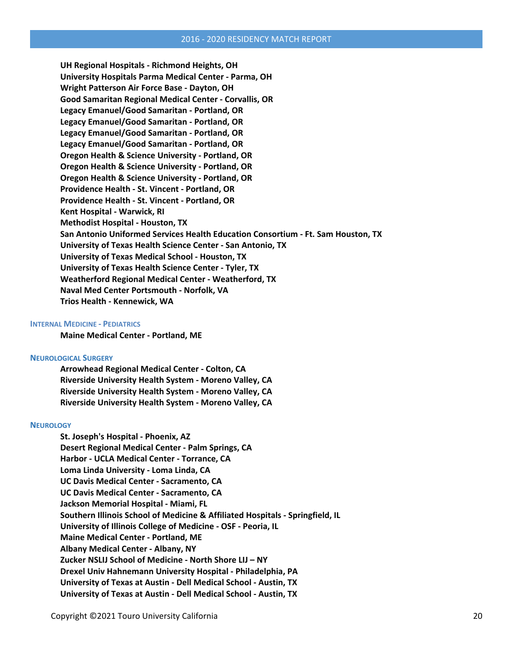**UH Regional Hospitals - Richmond Heights, OH University Hospitals Parma Medical Center - Parma, OH Wright Patterson Air Force Base - Dayton, OH Good Samaritan Regional Medical Center - Corvallis, OR Legacy Emanuel/Good Samaritan - Portland, OR Legacy Emanuel/Good Samaritan - Portland, OR Legacy Emanuel/Good Samaritan - Portland, OR Legacy Emanuel/Good Samaritan - Portland, OR Oregon Health & Science University - Portland, OR Oregon Health & Science University - Portland, OR Oregon Health & Science University - Portland, OR Providence Health - St. Vincent - Portland, OR Providence Health - St. Vincent - Portland, OR Kent Hospital - Warwick, RI Methodist Hospital - Houston, TX San Antonio Uniformed Services Health Education Consortium - Ft. Sam Houston, TX University of Texas Health Science Center - San Antonio, TX University of Texas Medical School - Houston, TX University of Texas Health Science Center - Tyler, TX Weatherford Regional Medical Center - Weatherford, TX Naval Med Center Portsmouth - Norfolk, VA Trios Health - Kennewick, WA**

#### **INTERNAL MEDICINE - PEDIATRICS**

**Maine Medical Center - Portland, ME**

#### **NEUROLOGICAL SURGERY**

**Arrowhead Regional Medical Center - Colton, CA Riverside University Health System - Moreno Valley, CA Riverside University Health System - Moreno Valley, CA Riverside University Health System - Moreno Valley, CA**

#### **NEUROLOGY**

**St. Joseph's Hospital - Phoenix, AZ Desert Regional Medical Center - Palm Springs, CA Harbor - UCLA Medical Center - Torrance, CA Loma Linda University - Loma Linda, CA UC Davis Medical Center - Sacramento, CA UC Davis Medical Center - Sacramento, CA Jackson Memorial Hospital - Miami, FL Southern Illinois School of Medicine & Affiliated Hospitals - Springfield, IL University of Illinois College of Medicine - OSF - Peoria, IL Maine Medical Center - Portland, ME Albany Medical Center - Albany, NY Zucker NSLIJ School of Medicine - North Shore LIJ – NY Drexel Univ Hahnemann University Hospital - Philadelphia, PA University of Texas at Austin - Dell Medical School - Austin, TX University of Texas at Austin - Dell Medical School - Austin, TX**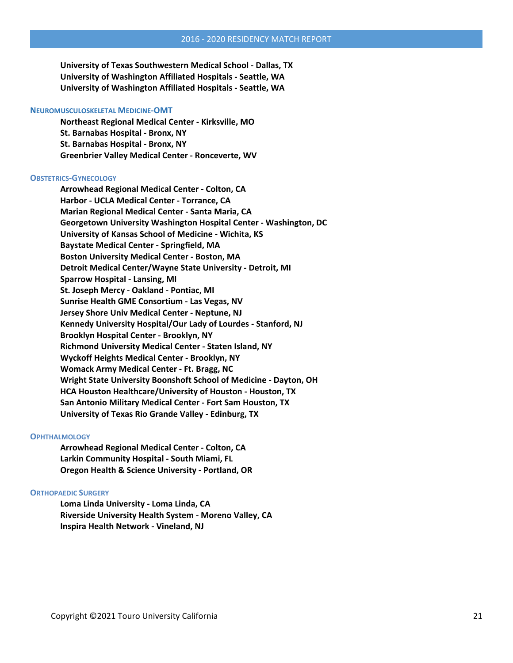**University of Texas Southwestern Medical School - Dallas, TX University of Washington Affiliated Hospitals - Seattle, WA University of Washington Affiliated Hospitals - Seattle, WA**

#### **NEUROMUSCULOSKELETAL MEDICINE-OMT**

**Northeast Regional Medical Center - Kirksville, MO St. Barnabas Hospital - Bronx, NY St. Barnabas Hospital - Bronx, NY Greenbrier Valley Medical Center - Ronceverte, WV**

#### **OBSTETRICS-GYNECOLOGY**

**Arrowhead Regional Medical Center - Colton, CA Harbor - UCLA Medical Center - Torrance, CA Marian Regional Medical Center - Santa Maria, CA Georgetown University Washington Hospital Center - Washington, DC University of Kansas School of Medicine - Wichita, KS Baystate Medical Center - Springfield, MA Boston University Medical Center - Boston, MA Detroit Medical Center/Wayne State University - Detroit, MI Sparrow Hospital - Lansing, MI St. Joseph Mercy - Oakland - Pontiac, MI Sunrise Health GME Consortium - Las Vegas, NV Jersey Shore Univ Medical Center - Neptune, NJ Kennedy University Hospital/Our Lady of Lourdes - Stanford, NJ Brooklyn Hospital Center - Brooklyn, NY Richmond University Medical Center - Staten Island, NY Wyckoff Heights Medical Center - Brooklyn, NY Womack Army Medical Center - Ft. Bragg, NC Wright State University Boonshoft School of Medicine - Dayton, OH HCA Houston Healthcare/University of Houston - Houston, TX San Antonio Military Medical Center - Fort Sam Houston, TX University of Texas Rio Grande Valley - Edinburg, TX**

#### **OPHTHALMOLOGY**

**Arrowhead Regional Medical Center - Colton, CA Larkin Community Hospital - South Miami, FL Oregon Health & Science University - Portland, OR**

#### **ORTHOPAEDIC SURGERY**

**Loma Linda University - Loma Linda, CA Riverside University Health System - Moreno Valley, CA Inspira Health Network - Vineland, NJ**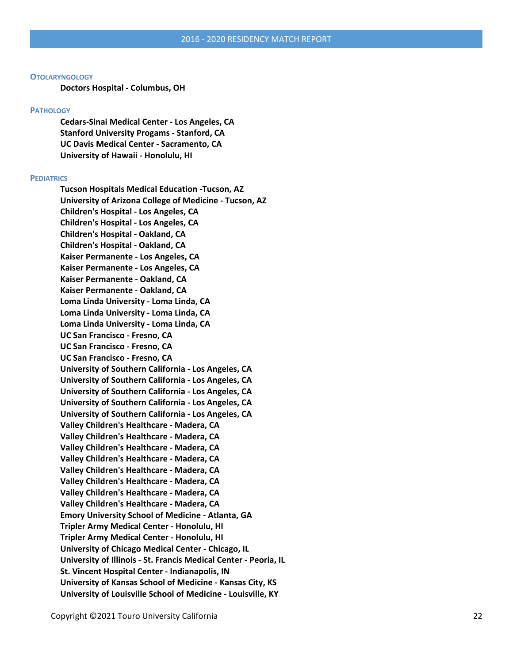#### **OTOLARYNGOLOGY**

**Doctors Hospital - Columbus, OH**

#### **PATHOLOGY**

**Cedars-Sinai Medical Center - Los Angeles, CA Stanford University Progams - Stanford, CA UC Davis Medical Center - Sacramento, CA University of Hawaii - Honolulu, HI**

#### **PEDIATRICS**

**Tucson Hospitals Medical Education -Tucson, AZ University of Arizona College of Medicine - Tucson, AZ Children's Hospital - Los Angeles, CA Children's Hospital - Los Angeles, CA Children's Hospital - Oakland, CA Children's Hospital - Oakland, CA Kaiser Permanente - Los Angeles, CA Kaiser Permanente - Los Angeles, CA Kaiser Permanente - Oakland, CA Kaiser Permanente - Oakland, CA Loma Linda University - Loma Linda, CA Loma Linda University - Loma Linda, CA Loma Linda University - Loma Linda, CA UC San Francisco - Fresno, CA UC San Francisco - Fresno, CA UC San Francisco - Fresno, CA University of Southern California - Los Angeles, CA University of Southern California - Los Angeles, CA University of Southern California - Los Angeles, CA University of Southern California - Los Angeles, CA University of Southern California - Los Angeles, CA Valley Children's Healthcare - Madera, CA Valley Children's Healthcare - Madera, CA Valley Children's Healthcare - Madera, CA Valley Children's Healthcare - Madera, CA Valley Children's Healthcare - Madera, CA Valley Children's Healthcare - Madera, CA Valley Children's Healthcare - Madera, CA Valley Children's Healthcare - Madera, CA Emory University School of Medicine - Atlanta, GA Tripler Army Medical Center - Honolulu, HI Tripler Army Medical Center - Honolulu, HI University of Chicago Medical Center - Chicago, IL University of Illinois - St. Francis Medical Center - Peoria, IL St. Vincent Hospital Center - Indianapolis, IN University of Kansas School of Medicine - Kansas City, KS University of Louisville School of Medicine - Louisville, KY**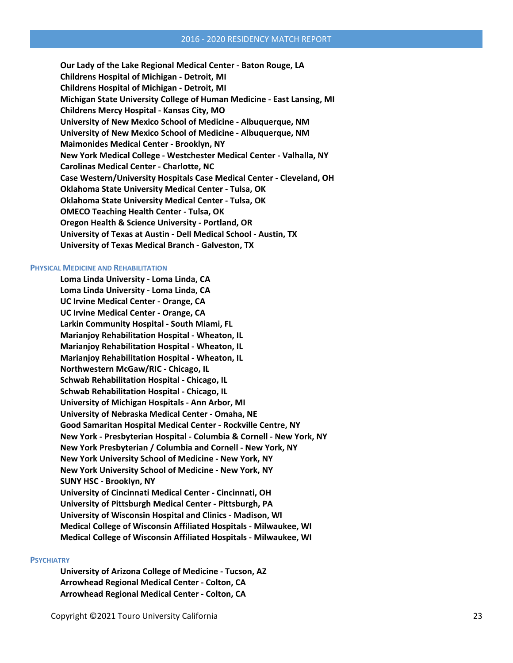**Our Lady of the Lake Regional Medical Center - Baton Rouge, LA Childrens Hospital of Michigan - Detroit, MI Childrens Hospital of Michigan - Detroit, MI Michigan State University College of Human Medicine - East Lansing, MI Childrens Mercy Hospital - Kansas City, MO University of New Mexico School of Medicine - Albuquerque, NM University of New Mexico School of Medicine - Albuquerque, NM Maimonides Medical Center - Brooklyn, NY New York Medical College - Westchester Medical Center - Valhalla, NY Carolinas Medical Center - Charlotte, NC Case Western/University Hospitals Case Medical Center - Cleveland, OH Oklahoma State University Medical Center - Tulsa, OK Oklahoma State University Medical Center - Tulsa, OK OMECO Teaching Health Center - Tulsa, OK Oregon Health & Science University - Portland, OR University of Texas at Austin - Dell Medical School - Austin, TX University of Texas Medical Branch - Galveston, TX**

#### **PHYSICAL MEDICINE AND REHABILITATION**

**Loma Linda University - Loma Linda, CA Loma Linda University - Loma Linda, CA UC Irvine Medical Center - Orange, CA UC Irvine Medical Center - Orange, CA Larkin Community Hospital - South Miami, FL Marianjoy Rehabilitation Hospital - Wheaton, IL Marianjoy Rehabilitation Hospital - Wheaton, IL Marianjoy Rehabilitation Hospital - Wheaton, IL Northwestern McGaw/RIC - Chicago, IL Schwab Rehabilitation Hospital - Chicago, IL Schwab Rehabilitation Hospital - Chicago, IL University of Michigan Hospitals - Ann Arbor, MI University of Nebraska Medical Center - Omaha, NE Good Samaritan Hospital Medical Center - Rockville Centre, NY New York - Presbyterian Hospital - Columbia & Cornell - New York, NY New York Presbyterian / Columbia and Cornell - New York, NY New York University School of Medicine - New York, NY New York University School of Medicine - New York, NY SUNY HSC - Brooklyn, NY University of Cincinnati Medical Center - Cincinnati, OH University of Pittsburgh Medical Center - Pittsburgh, PA University of Wisconsin Hospital and Clinics - Madison, WI Medical College of Wisconsin Affiliated Hospitals - Milwaukee, WI Medical College of Wisconsin Affiliated Hospitals - Milwaukee, WI**

#### **PSYCHIATRY**

**University of Arizona College of Medicine - Tucson, AZ Arrowhead Regional Medical Center - Colton, CA Arrowhead Regional Medical Center - Colton, CA**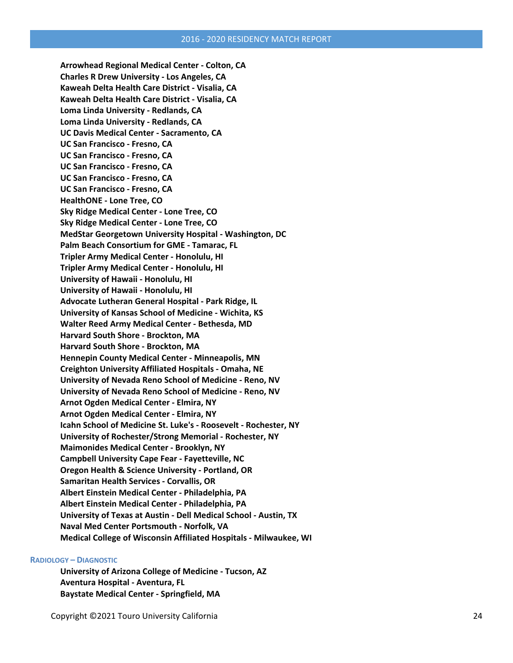**Arrowhead Regional Medical Center - Colton, CA Charles R Drew University - Los Angeles, CA Kaweah Delta Health Care District - Visalia, CA Kaweah Delta Health Care District - Visalia, CA Loma Linda University - Redlands, CA Loma Linda University - Redlands, CA UC Davis Medical Center - Sacramento, CA UC San Francisco - Fresno, CA UC San Francisco - Fresno, CA UC San Francisco - Fresno, CA UC San Francisco - Fresno, CA UC San Francisco - Fresno, CA HealthONE - Lone Tree, CO Sky Ridge Medical Center - Lone Tree, CO Sky Ridge Medical Center - Lone Tree, CO MedStar Georgetown University Hospital - Washington, DC Palm Beach Consortium for GME - Tamarac, FL Tripler Army Medical Center - Honolulu, HI Tripler Army Medical Center - Honolulu, HI University of Hawaii - Honolulu, HI University of Hawaii - Honolulu, HI Advocate Lutheran General Hospital - Park Ridge, IL University of Kansas School of Medicine - Wichita, KS Walter Reed Army Medical Center - Bethesda, MD Harvard South Shore - Brockton, MA Harvard South Shore - Brockton, MA Hennepin County Medical Center - Minneapolis, MN Creighton University Affiliated Hospitals - Omaha, NE University of Nevada Reno School of Medicine - Reno, NV University of Nevada Reno School of Medicine - Reno, NV Arnot Ogden Medical Center - Elmira, NY Arnot Ogden Medical Center - Elmira, NY Icahn School of Medicine St. Luke's - Roosevelt - Rochester, NY University of Rochester/Strong Memorial - Rochester, NY Maimonides Medical Center - Brooklyn, NY Campbell University Cape Fear - Fayetteville, NC Oregon Health & Science University - Portland, OR Samaritan Health Services - Corvallis, OR Albert Einstein Medical Center - Philadelphia, PA Albert Einstein Medical Center - Philadelphia, PA University of Texas at Austin - Dell Medical School - Austin, TX Naval Med Center Portsmouth - Norfolk, VA Medical College of Wisconsin Affiliated Hospitals - Milwaukee, WI**

#### **RADIOLOGY – DIAGNOSTIC**

**University of Arizona College of Medicine - Tucson, AZ Aventura Hospital - Aventura, FL Baystate Medical Center - Springfield, MA**